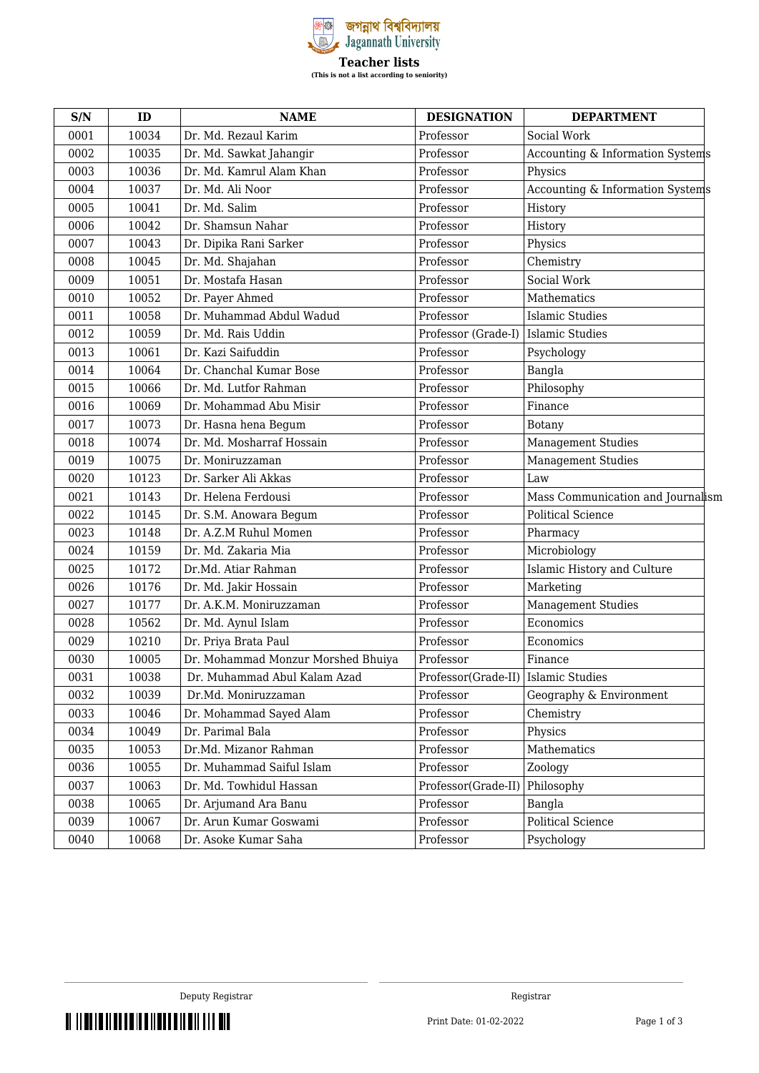

| S/N  | ID    | <b>NAME</b>                        | <b>DESIGNATION</b>                    | <b>DEPARTMENT</b>                 |
|------|-------|------------------------------------|---------------------------------------|-----------------------------------|
| 0001 | 10034 | Dr. Md. Rezaul Karim               | Professor                             | Social Work                       |
| 0002 | 10035 | Dr. Md. Sawkat Jahangir            | Professor                             | Accounting & Information Systems  |
| 0003 | 10036 | Dr. Md. Kamrul Alam Khan           | Professor                             | Physics                           |
| 0004 | 10037 | Dr. Md. Ali Noor                   | Professor                             | Accounting & Information Systems  |
| 0005 | 10041 | Dr. Md. Salim                      | Professor                             | History                           |
| 0006 | 10042 | Dr. Shamsun Nahar                  | Professor                             | History                           |
| 0007 | 10043 | Dr. Dipika Rani Sarker             | Professor                             | Physics                           |
| 0008 | 10045 | Dr. Md. Shajahan                   | Professor                             | Chemistry                         |
| 0009 | 10051 | Dr. Mostafa Hasan                  | Professor                             | Social Work                       |
| 0010 | 10052 | Dr. Payer Ahmed                    | Professor                             | Mathematics                       |
| 0011 | 10058 | Dr. Muhammad Abdul Wadud           | Professor                             | <b>Islamic Studies</b>            |
| 0012 | 10059 | Dr. Md. Rais Uddin                 | Professor (Grade-I)                   | Islamic Studies                   |
| 0013 | 10061 | Dr. Kazi Saifuddin                 | Professor                             | Psychology                        |
| 0014 | 10064 | Dr. Chanchal Kumar Bose            | Professor                             | Bangla                            |
| 0015 | 10066 | Dr. Md. Lutfor Rahman              | Professor                             | Philosophy                        |
| 0016 | 10069 | Dr. Mohammad Abu Misir             | Professor                             | Finance                           |
| 0017 | 10073 | Dr. Hasna hena Begum               | Professor                             | Botany                            |
| 0018 | 10074 | Dr. Md. Mosharraf Hossain          | Professor                             | <b>Management Studies</b>         |
| 0019 | 10075 | Dr. Moniruzzaman                   | Professor                             | <b>Management Studies</b>         |
| 0020 | 10123 | Dr. Sarker Ali Akkas               | Professor                             | Law                               |
| 0021 | 10143 | Dr. Helena Ferdousi                | Professor                             | Mass Communication and Journalism |
| 0022 | 10145 | Dr. S.M. Anowara Begum             | Professor                             | <b>Political Science</b>          |
| 0023 | 10148 | Dr. A.Z.M Ruhul Momen              | Professor                             | Pharmacy                          |
| 0024 | 10159 | Dr. Md. Zakaria Mia                | Professor                             | Microbiology                      |
| 0025 | 10172 | Dr.Md. Atiar Rahman                | Professor                             | Islamic History and Culture       |
| 0026 | 10176 | Dr. Md. Jakir Hossain              | Professor                             | Marketing                         |
| 0027 | 10177 | Dr. A.K.M. Moniruzzaman            | Professor                             | <b>Management Studies</b>         |
| 0028 | 10562 | Dr. Md. Aynul Islam                | Professor                             | Economics                         |
| 0029 | 10210 | Dr. Priya Brata Paul               | Professor                             | Economics                         |
| 0030 | 10005 | Dr. Mohammad Monzur Morshed Bhuiya | Professor                             | Finance                           |
| 0031 | 10038 | Dr. Muhammad Abul Kalam Azad       | Professor(Grade-II)   Islamic Studies |                                   |
| 0032 | 10039 | Dr.Md. Moniruzzaman                | Professor                             | Geography & Environment           |
| 0033 | 10046 | Dr. Mohammad Sayed Alam            | Professor                             | Chemistry                         |
| 0034 | 10049 | Dr. Parimal Bala                   | Professor                             | Physics                           |
| 0035 | 10053 | Dr.Md. Mizanor Rahman              | Professor                             | Mathematics                       |
| 0036 | 10055 | Dr. Muhammad Saiful Islam          | Professor                             | Zoology                           |
| 0037 | 10063 | Dr. Md. Towhidul Hassan            | Professor(Grade-II)                   | Philosophy                        |
| 0038 | 10065 | Dr. Arjumand Ara Banu              | Professor                             | Bangla                            |
| 0039 | 10067 | Dr. Arun Kumar Goswami             | Professor                             | Political Science                 |
| 0040 | 10068 | Dr. Asoke Kumar Saha               | Professor                             | Psychology                        |

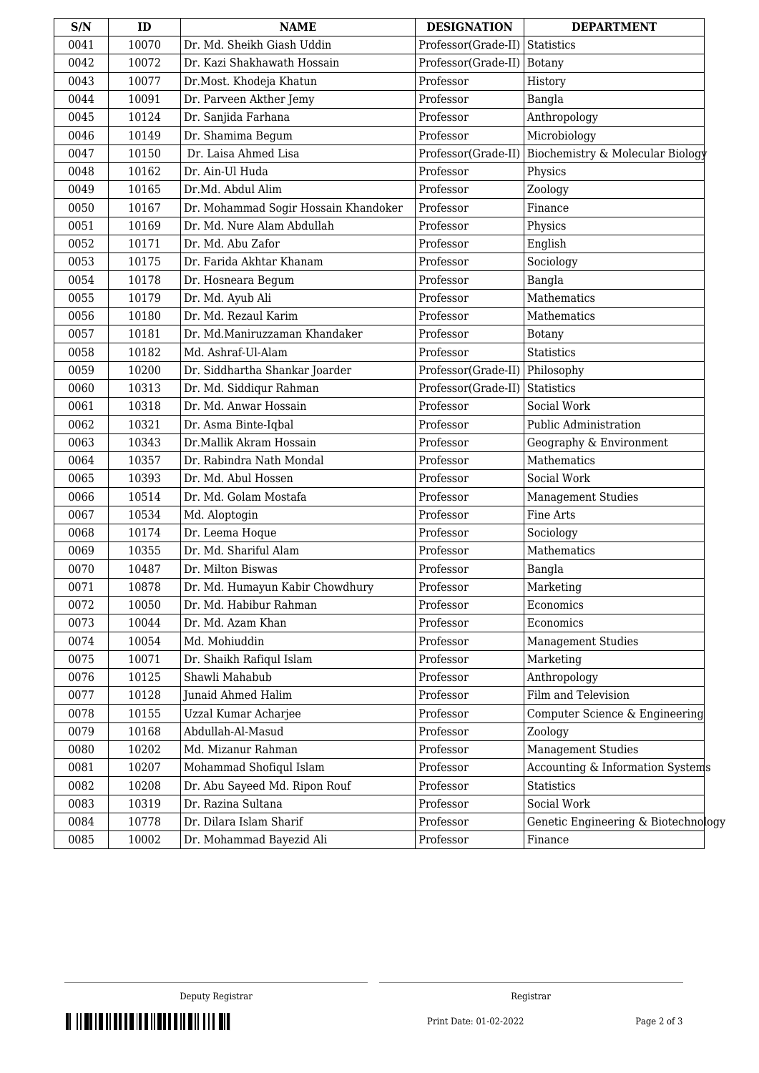| S/N  | ID    | <b>NAME</b>                          | <b>DESIGNATION</b>  | <b>DEPARTMENT</b>                   |
|------|-------|--------------------------------------|---------------------|-------------------------------------|
| 0041 | 10070 | Dr. Md. Sheikh Giash Uddin           | Professor(Grade-II) | Statistics                          |
| 0042 | 10072 | Dr. Kazi Shakhawath Hossain          | Professor(Grade-II) | Botany                              |
| 0043 | 10077 | Dr.Most. Khodeja Khatun              | Professor           | History                             |
| 0044 | 10091 | Dr. Parveen Akther Jemy              | Professor           | Bangla                              |
| 0045 | 10124 | Dr. Sanjida Farhana                  | Professor           | Anthropology                        |
| 0046 | 10149 | Dr. Shamima Begum                    | Professor           | Microbiology                        |
| 0047 | 10150 | Dr. Laisa Ahmed Lisa                 | Professor(Grade-II) | Biochemistry & Molecular Biology    |
| 0048 | 10162 | Dr. Ain-Ul Huda                      | Professor           | Physics                             |
| 0049 | 10165 | Dr.Md. Abdul Alim                    | Professor           | Zoology                             |
| 0050 | 10167 | Dr. Mohammad Sogir Hossain Khandoker | Professor           | Finance                             |
| 0051 | 10169 | Dr. Md. Nure Alam Abdullah           | Professor           | Physics                             |
| 0052 | 10171 | Dr. Md. Abu Zafor                    | Professor           | English                             |
| 0053 | 10175 | Dr. Farida Akhtar Khanam             | Professor           | Sociology                           |
| 0054 | 10178 | Dr. Hosneara Begum                   | Professor           | Bangla                              |
| 0055 | 10179 | Dr. Md. Ayub Ali                     | Professor           | Mathematics                         |
| 0056 | 10180 | Dr. Md. Rezaul Karim                 | Professor           | Mathematics                         |
| 0057 | 10181 | Dr. Md.Maniruzzaman Khandaker        | Professor           | Botany                              |
| 0058 | 10182 | Md. Ashraf-Ul-Alam                   | Professor           | <b>Statistics</b>                   |
| 0059 | 10200 | Dr. Siddhartha Shankar Joarder       | Professor(Grade-II) | Philosophy                          |
| 0060 | 10313 | Dr. Md. Siddiqur Rahman              | Professor(Grade-II) | <b>Statistics</b>                   |
| 0061 | 10318 | Dr. Md. Anwar Hossain                | Professor           | Social Work                         |
| 0062 | 10321 | Dr. Asma Binte-Iqbal                 | Professor           | Public Administration               |
| 0063 | 10343 | Dr.Mallik Akram Hossain              | Professor           | Geography & Environment             |
| 0064 | 10357 | Dr. Rabindra Nath Mondal             | Professor           | Mathematics                         |
| 0065 | 10393 | Dr. Md. Abul Hossen                  | Professor           | Social Work                         |
| 0066 | 10514 | Dr. Md. Golam Mostafa                | Professor           | <b>Management Studies</b>           |
| 0067 | 10534 | Md. Aloptogin                        | Professor           | Fine Arts                           |
| 0068 | 10174 | Dr. Leema Hoque                      | Professor           | Sociology                           |
| 0069 | 10355 | Dr. Md. Shariful Alam                | Professor           | Mathematics                         |
| 0070 | 10487 | Dr. Milton Biswas                    | Professor           | Bangla                              |
| 0071 | 10878 | Dr. Md. Humayun Kabir Chowdhury      | Professor           | Marketing                           |
| 0072 | 10050 | Dr. Md. Habibur Rahman               | Professor           | Economics                           |
| 0073 | 10044 | Dr. Md. Azam Khan                    | Professor           | Economics                           |
| 0074 | 10054 | Md. Mohiuddin                        | Professor           | <b>Management Studies</b>           |
| 0075 | 10071 | Dr. Shaikh Rafiqul Islam             | Professor           | Marketing                           |
| 0076 | 10125 | Shawli Mahabub                       | Professor           | Anthropology                        |
| 0077 | 10128 | <b>Junaid Ahmed Halim</b>            | Professor           | Film and Television                 |
| 0078 | 10155 | Uzzal Kumar Acharjee                 | Professor           | Computer Science & Engineering      |
| 0079 | 10168 | Abdullah-Al-Masud                    | Professor           | Zoology                             |
| 0080 | 10202 | Md. Mizanur Rahman                   | Professor           | <b>Management Studies</b>           |
| 0081 | 10207 | Mohammad Shofiqul Islam              | Professor           | Accounting & Information Systems    |
| 0082 | 10208 | Dr. Abu Sayeed Md. Ripon Rouf        | Professor           | Statistics                          |
| 0083 | 10319 | Dr. Razina Sultana                   | Professor           | Social Work                         |
| 0084 | 10778 | Dr. Dilara Islam Sharif              | Professor           | Genetic Engineering & Biotechnology |
| 0085 | 10002 | Dr. Mohammad Bayezid Ali             | Professor           | Finance                             |